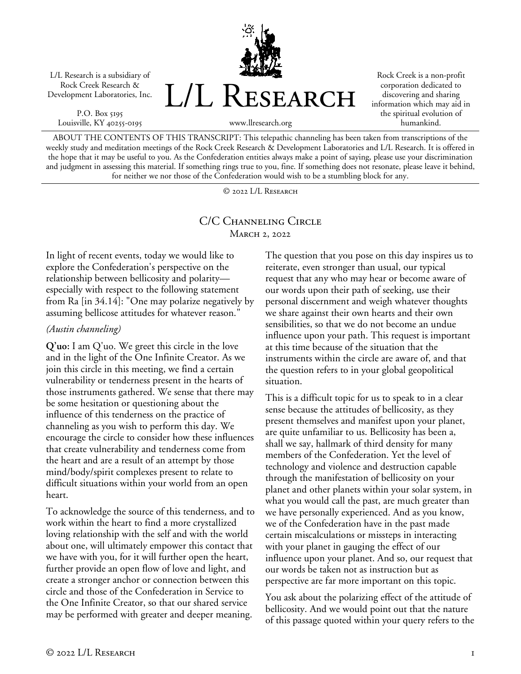L/L Research is a subsidiary of Rock Creek Research & Development Laboratories, Inc.

P.O. Box 5195 Louisville, KY 40255-0195 L/L RESEARCH

Rock Creek is a non-profit corporation dedicated to discovering and sharing information which may aid in the spiritual evolution of humankind.

ABOUT THE CONTENTS OF THIS TRANSCRIPT: This telepathic channeling has been taken from transcriptions of the weekly study and meditation meetings of the Rock Creek Research & Development Laboratories and L/L Research. It is offered in the hope that it may be useful to you. As the Confederation entities always make a point of saying, please use your discrimination and judgment in assessing this material. If something rings true to you, fine. If something does not resonate, please leave it behind, for neither we nor those of the Confederation would wish to be a stumbling block for any.

www.llresearch.org

© 2022 L/L Research

## C/C CHANNELING CIRCLE **MARCH 2, 2022**

In light of recent events, today we would like to explore the Confederation's perspective on the relationship between bellicosity and polarity especially with respect to the following statement from Ra [in 34.14]: "One may polarize negatively by assuming bellicose attitudes for whatever reason."

## *(Austin channeling)*

**Q'uo:** I am Q'uo. We greet this circle in the love and in the light of the One Infinite Creator. As we join this circle in this meeting, we find a certain vulnerability or tenderness present in the hearts of those instruments gathered. We sense that there may be some hesitation or questioning about the influence of this tenderness on the practice of channeling as you wish to perform this day. We encourage the circle to consider how these influences that create vulnerability and tenderness come from the heart and are a result of an attempt by those mind/body/spirit complexes present to relate to difficult situations within your world from an open heart.

To acknowledge the source of this tenderness, and to work within the heart to find a more crystallized loving relationship with the self and with the world about one, will ultimately empower this contact that we have with you, for it will further open the heart, further provide an open flow of love and light, and create a stronger anchor or connection between this circle and those of the Confederation in Service to the One Infinite Creator, so that our shared service may be performed with greater and deeper meaning.

The question that you pose on this day inspires us to reiterate, even stronger than usual, our typical request that any who may hear or become aware of our words upon their path of seeking, use their personal discernment and weigh whatever thoughts we share against their own hearts and their own sensibilities, so that we do not become an undue influence upon your path. This request is important at this time because of the situation that the instruments within the circle are aware of, and that the question refers to in your global geopolitical situation.

This is a difficult topic for us to speak to in a clear sense because the attitudes of bellicosity, as they present themselves and manifest upon your planet, are quite unfamiliar to us. Bellicosity has been a, shall we say, hallmark of third density for many members of the Confederation. Yet the level of technology and violence and destruction capable through the manifestation of bellicosity on your planet and other planets within your solar system, in what you would call the past, are much greater than we have personally experienced. And as you know, we of the Confederation have in the past made certain miscalculations or missteps in interacting with your planet in gauging the effect of our influence upon your planet. And so, our request that our words be taken not as instruction but as perspective are far more important on this topic.

You ask about the polarizing effect of the attitude of bellicosity. And we would point out that the nature of this passage quoted within your query refers to the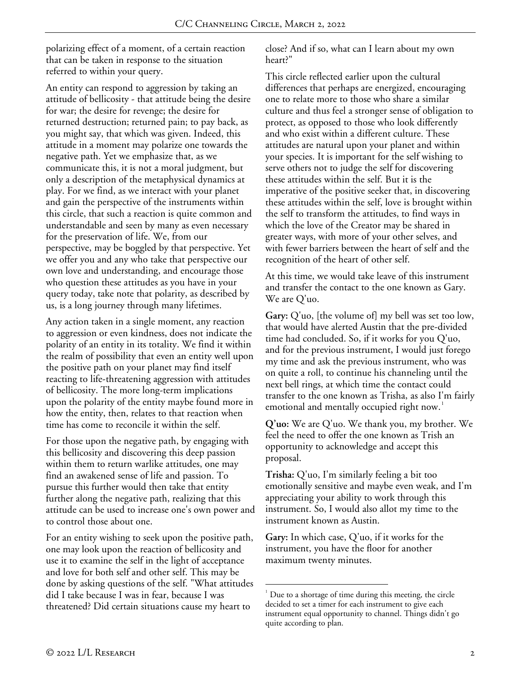polarizing effect of a moment, of a certain reaction that can be taken in response to the situation referred to within your query.

An entity can respond to aggression by taking an attitude of bellicosity - that attitude being the desire for war; the desire for revenge; the desire for returned destruction; returned pain; to pay back, as you might say, that which was given. Indeed, this attitude in a moment may polarize one towards the negative path. Yet we emphasize that, as we communicate this, it is not a moral judgment, but only a description of the metaphysical dynamics at play. For we find, as we interact with your planet and gain the perspective of the instruments within this circle, that such a reaction is quite common and understandable and seen by many as even necessary for the preservation of life. We, from our perspective, may be boggled by that perspective. Yet we offer you and any who take that perspective our own love and understanding, and encourage those who question these attitudes as you have in your query today, take note that polarity, as described by us, is a long journey through many lifetimes.

Any action taken in a single moment, any reaction to aggression or even kindness, does not indicate the polarity of an entity in its totality. We find it within the realm of possibility that even an entity well upon the positive path on your planet may find itself reacting to life-threatening aggression with attitudes of bellicosity. The more long-term implications upon the polarity of the entity maybe found more in how the entity, then, relates to that reaction when time has come to reconcile it within the self.

For those upon the negative path, by engaging with this bellicosity and discovering this deep passion within them to return warlike attitudes, one may find an awakened sense of life and passion. To pursue this further would then take that entity further along the negative path, realizing that this attitude can be used to increase one's own power and to control those about one.

<span id="page-1-0"></span>For an entity wishing to seek upon the positive path, one may look upon the reaction of bellicosity and use it to examine the self in the light of acceptance and love for both self and other self. This may be done by asking questions of the self. "What attitudes did I take because I was in fear, because I was threatened? Did certain situations cause my heart to

close? And if so, what can I learn about my own heart?"

This circle reflected earlier upon the cultural differences that perhaps are energized, encouraging one to relate more to those who share a similar culture and thus feel a stronger sense of obligation to protect, as opposed to those who look differently and who exist within a different culture. These attitudes are natural upon your planet and within your species. It is important for the self wishing to serve others not to judge the self for discovering these attitudes within the self. But it is the imperative of the positive seeker that, in discovering these attitudes within the self, love is brought within the self to transform the attitudes, to find ways in which the love of the Creator may be shared in greater ways, with more of your other selves, and with fewer barriers between the heart of self and the recognition of the heart of other self.

At this time, we would take leave of this instrument and transfer the contact to the one known as Gary. We are Q'uo.

**Gary:** Q'uo, [the volume of] my bell was set too low, that would have alerted Austin that the pre-divided time had concluded. So, if it works for you Q'uo, and for the previous instrument, I would just forego my time and ask the previous instrument, who was on quite a roll, to continue his channeling until the next bell rings, at which time the contact could transfer to the one known as Trisha, as also I'm fairly emotional and mentally occupied right now.<sup>[1](#page-1-0)</sup>

**Q'uo:** We are Q'uo. We thank you, my brother. We feel the need to offer the one known as Trish an opportunity to acknowledge and accept this proposal.

**Trisha:** Q'uo, I'm similarly feeling a bit too emotionally sensitive and maybe even weak, and I'm appreciating your ability to work through this instrument. So, I would also allot my time to the instrument known as Austin.

**Gary:** In which case, Q'uo, if it works for the instrument, you have the floor for another maximum twenty minutes.

 $\frac{1}{1}$  $1$  Due to a shortage of time during this meeting, the circle decided to set a timer for each instrument to give each instrument equal opportunity to channel. Things didn't go quite according to plan.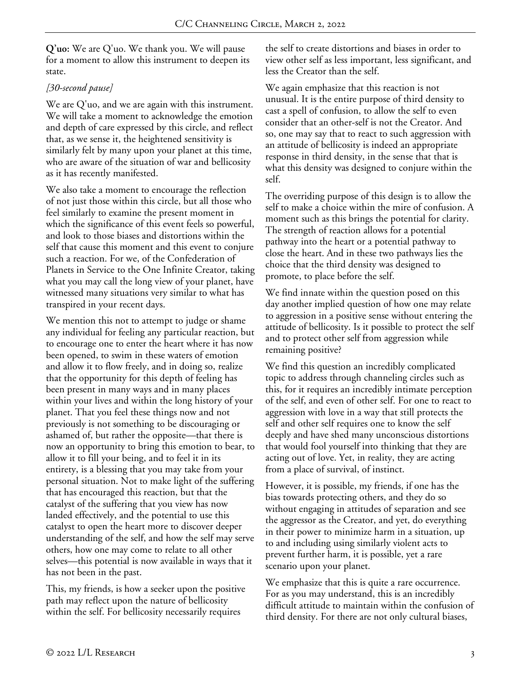**Q'uo:** We are Q'uo. We thank you. We will pause for a moment to allow this instrument to deepen its state.

## *[30-second pause]*

We are Q'uo, and we are again with this instrument. We will take a moment to acknowledge the emotion and depth of care expressed by this circle, and reflect that, as we sense it, the heightened sensitivity is similarly felt by many upon your planet at this time, who are aware of the situation of war and bellicosity as it has recently manifested.

We also take a moment to encourage the reflection of not just those within this circle, but all those who feel similarly to examine the present moment in which the significance of this event feels so powerful, and look to those biases and distortions within the self that cause this moment and this event to conjure such a reaction. For we, of the Confederation of Planets in Service to the One Infinite Creator, taking what you may call the long view of your planet, have witnessed many situations very similar to what has transpired in your recent days.

We mention this not to attempt to judge or shame any individual for feeling any particular reaction, but to encourage one to enter the heart where it has now been opened, to swim in these waters of emotion and allow it to flow freely, and in doing so, realize that the opportunity for this depth of feeling has been present in many ways and in many places within your lives and within the long history of your planet. That you feel these things now and not previously is not something to be discouraging or ashamed of, but rather the opposite—that there is now an opportunity to bring this emotion to bear, to allow it to fill your being, and to feel it in its entirety, is a blessing that you may take from your personal situation. Not to make light of the suffering that has encouraged this reaction, but that the catalyst of the suffering that you view has now landed effectively, and the potential to use this catalyst to open the heart more to discover deeper understanding of the self, and how the self may serve others, how one may come to relate to all other selves—this potential is now available in ways that it has not been in the past.

This, my friends, is how a seeker upon the positive path may reflect upon the nature of bellicosity within the self. For bellicosity necessarily requires

the self to create distortions and biases in order to view other self as less important, less significant, and less the Creator than the self.

We again emphasize that this reaction is not unusual. It is the entire purpose of third density to cast a spell of confusion, to allow the self to even consider that an other-self is not the Creator. And so, one may say that to react to such aggression with an attitude of bellicosity is indeed an appropriate response in third density, in the sense that that is what this density was designed to conjure within the self.

The overriding purpose of this design is to allow the self to make a choice within the mire of confusion. A moment such as this brings the potential for clarity. The strength of reaction allows for a potential pathway into the heart or a potential pathway to close the heart. And in these two pathways lies the choice that the third density was designed to promote, to place before the self.

We find innate within the question posed on this day another implied question of how one may relate to aggression in a positive sense without entering the attitude of bellicosity. Is it possible to protect the self and to protect other self from aggression while remaining positive?

We find this question an incredibly complicated topic to address through channeling circles such as this, for it requires an incredibly intimate perception of the self, and even of other self. For one to react to aggression with love in a way that still protects the self and other self requires one to know the self deeply and have shed many unconscious distortions that would fool yourself into thinking that they are acting out of love. Yet, in reality, they are acting from a place of survival, of instinct.

However, it is possible, my friends, if one has the bias towards protecting others, and they do so without engaging in attitudes of separation and see the aggressor as the Creator, and yet, do everything in their power to minimize harm in a situation, up to and including using similarly violent acts to prevent further harm, it is possible, yet a rare scenario upon your planet.

We emphasize that this is quite a rare occurrence. For as you may understand, this is an incredibly difficult attitude to maintain within the confusion of third density. For there are not only cultural biases,